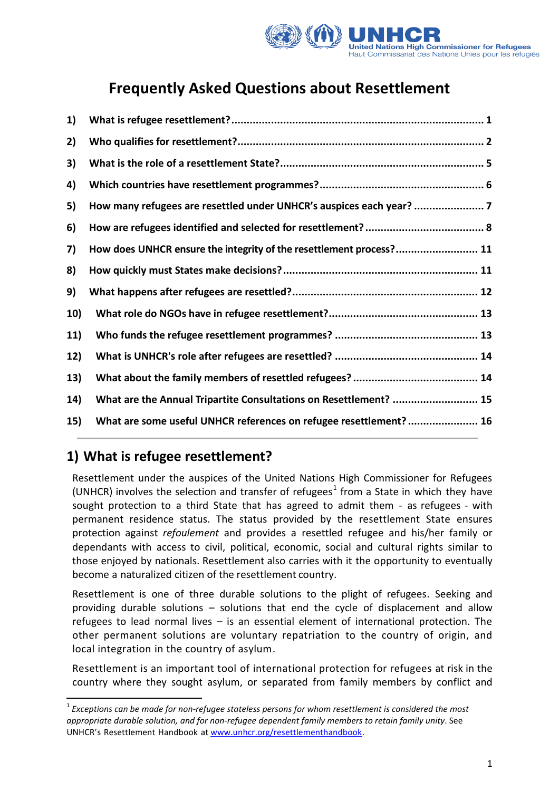

# **Frequently Asked Questions about Resettlement**

| 1)  |                                                                     |
|-----|---------------------------------------------------------------------|
| 2)  |                                                                     |
| 3)  |                                                                     |
| 4)  |                                                                     |
| 5)  | How many refugees are resettled under UNHCR's auspices each year?   |
| 6)  |                                                                     |
| 7)  | How does UNHCR ensure the integrity of the resettlement process? 11 |
| 8)  |                                                                     |
| 9)  |                                                                     |
| 10) |                                                                     |
| 11) |                                                                     |
| 12) |                                                                     |
| 13) |                                                                     |
| 14) | What are the Annual Tripartite Consultations on Resettlement?  15   |
| 15) | What are some useful UNHCR references on refugee resettlement? 16   |
|     |                                                                     |

# **1) What is refugee resettlement?**

 $\overline{\phantom{a}}$ 

Resettlement under the auspices of the United Nations High Commissioner for Refugees (UNHCR) involves the selection and transfer of refugees<sup>1</sup> from a State in which they have sought protection to a third State that has agreed to admit them ‐ as refugees ‐ with permanent residence status. The status provided by the resettlement State ensures protection against *refoulement* and provides a resettled refugee and his/her family or dependants with access to civil, political, economic, social and cultural rights similar to those enjoyed by nationals. Resettlement also carries with it the opportunity to eventually become a naturalized citizen of the resettlement country.

Resettlement is one of three durable solutions to the plight of refugees. Seeking and providing durable solutions – solutions that end the cycle of displacement and allow refugees to lead normal lives – is an essential element of international protection. The other permanent solutions are voluntary repatriation to the country of origin, and local integration in the country of asylum.

Resettlement is an important tool of international protection for refugees at risk in the country where they sought asylum, or separated from family members by conflict and

<sup>1</sup> *Exceptions can be made for non‐refugee stateless persons for whom resettlement is considered the most appropriate durable solution, and for non‐refugee dependent family members to retain family unity*. See UNHCR's Resettlement Handbook at [www.unhcr.org/resettlementhandbook.](http://www.refworld.orgwww.unhcr.org/resettlementhandbook)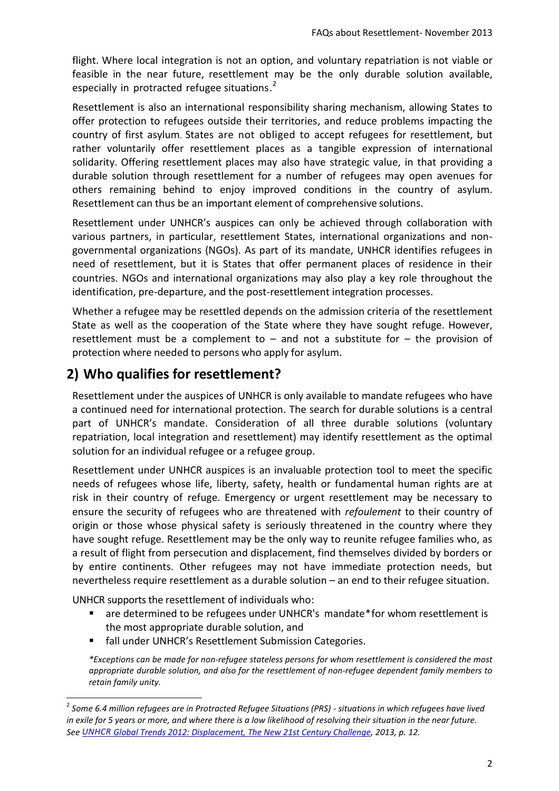flight. Where local integration is not an option, and voluntary repatriation is not viable or feasible in the near future, resettlement may be the only durable solution available, especially in protracted refugee situations.<sup>2</sup>

Resettlement is also an international responsibility sharing mechanism, allowing States to offer protection to refugees outside their territories, and reduce problems impacting the country of first asylum. States are not obliged to accept refugees for resettlement, but rather voluntarily offer resettlement places as a tangible expression of international solidarity. Offering resettlement places may also have strategic value, in that providing a durable solution through resettlement for a number of refugees may open avenues for others remaining behind to enjoy improved conditions in the country of asylum. Resettlement can thus be an important element of comprehensive solutions.

Resettlement under UNHCR's auspices can only be achieved through collaboration with various partners, in particular, resettlement States, international organizations and nongovernmental organizations (NGOs). As part of its mandate, UNHCR identifies refugees in need of resettlement, but it is States that offer permanent places of residence in their countries. NGOs and international organizations may also play a key role throughout the identification, pre-departure, and the post-resettlement integration processes.

Whether a refugee may be resettled depends on the admission criteria of the resettlement State as well as the cooperation of the State where they have sought refuge. However, resettlement must be a complement to  $-$  and not a substitute for  $-$  the provision of protection where needed to persons who apply for asylum.

# **2) Who qualifies for resettlement?**

Resettlement under the auspices of UNHCR is only available to mandate refugees who have a continued need for international protection. The search for durable solutions is a central part of UNHCR's mandate. Consideration of all three durable solutions (voluntary repatriation, local integration and resettlement) may identify resettlement as the optimal solution for an individual refugee or a refugee group.

Resettlement under UNHCR auspices is an invaluable protection tool to meet the specific needs of refugees whose life, liberty, safety, health or fundamental human rights are at risk in their country of refuge. Emergency or urgent resettlement may be necessary to ensure the security of refugees who are threatened with *refoulement* to their country of origin or those whose physical safety is seriously threatened in the country where they have sought refuge. Resettlement may be the only way to reunite refugee families who, as a result of flight from persecution and displacement, find themselves divided by borders or by entire continents. Other refugees may not have immediate protection needs, but nevertheless require resettlement as a durable solution – an end to their refugee situation.

UNHCR supports the resettlement of individuals who:

 $\overline{a}$ 

- are determined to be refugees under UNHCR's mandate\*for whom resettlement is the most appropriate durable solution, and
- fall under UNHCR's Resettlement Submission Categories.

*\*Exceptions can be made for non‐refugee stateless persons for whom resettlement is considered the most appropriate durable solution, and also for the resettlement of non‐refugee dependent family members to retain family unity.*

<sup>2</sup> *Some 6.4 million refugees are in Protracted Refugee Situations (PRS) - situations in which refugees have lived in exile for 5 years or more, and where there is a low likelihood of resolving their situation in the near future. Se[e UNHCR Global Trends 2012: Displacement, The New 21st Century Challenge,](http://www.refworld.org/docid/51c169d84.html) 2013, p. 12.*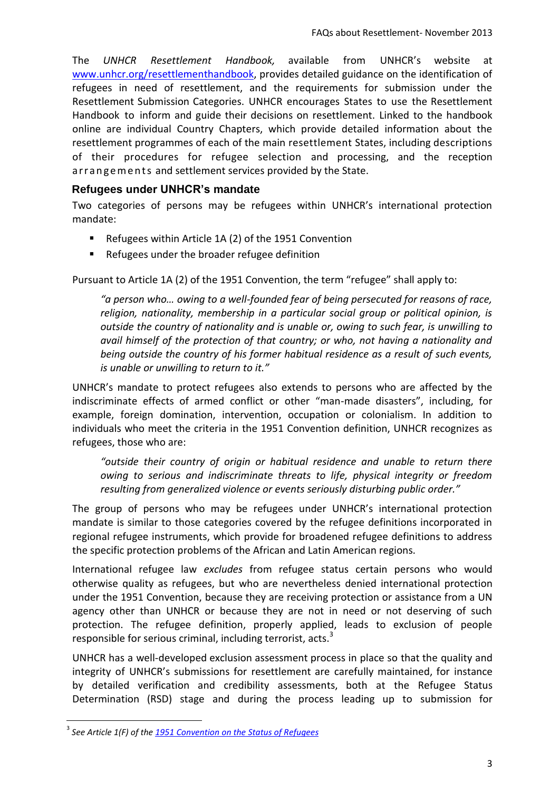The *UNHCR Resettlement Handbook,* available from UNHCR's website at [www.unhcr.org/resettlementhandbook,](http://www.refworld.orgwww.unhcr.org/resettlementhandbook) provides detailed guidance on the identification of refugees in need of resettlement, and the requirements for submission under the Resettlement Submission Categories. UNHCR encourages States to use the Resettlement Handbook to inform and guide their decisions on resettlement. Linked to the handbook online are individual Country Chapters, which provide detailed information about the resettlement programmes of each of the main resettlement States, including descriptions of their procedures for refugee selection and processing, and the reception arrangements and settlement services provided by the State.

#### **Refugees under UNHCR's mandate**

Two categories of persons may be refugees within UNHCR's international protection mandate:

- Refugees within Article 1A (2) of the 1951 Convention
- Refugees under the broader refugee definition

Pursuant to Article 1A (2) of the 1951 Convention, the term "refugee" shall apply to:

*"a person who… owing to a well-founded fear of being persecuted for reasons of race, religion, nationality, membership in a particular social group or political opinion, is outside the country of nationality and is unable or, owing to such fear, is unwilling to avail himself of the protection of that country; or who, not having a nationality and being outside the country of his former habitual residence as a result of such events, is unable or unwilling to return to it."* 

UNHCR's mandate to protect refugees also extends to persons who are affected by the indiscriminate effects of armed conflict or other "man-made disasters", including, for example, foreign domination, intervention, occupation or colonialism. In addition to individuals who meet the criteria in the 1951 Convention definition, UNHCR recognizes as refugees, those who are:

*"outside their country of origin or habitual residence and unable to return there owing to serious and indiscriminate threats to life, physical integrity or freedom resulting from generalized violence or events seriously disturbing public order."*

The group of persons who may be refugees under UNHCR's international protection mandate is similar to those categories covered by the refugee definitions incorporated in regional refugee instruments, which provide for broadened refugee definitions to address the specific protection problems of the African and Latin American regions.

International refugee law *excludes* from refugee status certain persons who would otherwise quality as refugees, but who are nevertheless denied international protection under the 1951 Convention, because they are receiving protection or assistance from a UN agency other than UNHCR or because they are not in need or not deserving of such protection. The refugee definition, properly applied, leads to exclusion of people responsible for serious criminal, including terrorist, acts.<sup>3</sup>

UNHCR has a well‐developed exclusion assessment process in place so that the quality and integrity of UNHCR's submissions for resettlement are carefully maintained, for instance by detailed verification and credibility assessments, both at the Refugee Status Determination (RSD) stage and during the process leading up to submission for

 $\overline{a}$ 

<sup>3</sup> *See Article 1(F) of the [1951 Convention on the](http://www.unhcr.org/refworld/docid/3d60f5557.html) Status of Refugees*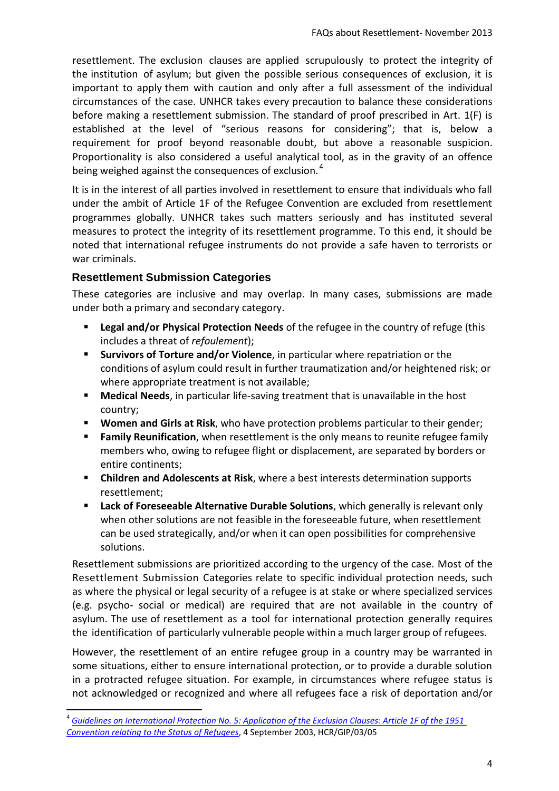resettlement. The exclusion clauses are applied scrupulously to protect the integrity of the institution of asylum; but given the possible serious consequences of exclusion, it is important to apply them with caution and only after a full assessment of the individual circumstances of the case. UNHCR takes every precaution to balance these considerations before making a resettlement submission. The standard of proof prescribed in Art. 1(F) is established at the level of "serious reasons for considering"; that is, below a requirement for proof beyond reasonable doubt, but above a reasonable suspicion. Proportionality is also considered a useful analytical tool, as in the gravity of an offence being weighed against the consequences of exclusion.<sup>4</sup>

It is in the interest of all parties involved in resettlement to ensure that individuals who fall under the ambit of Article 1F of the Refugee Convention are excluded from resettlement programmes globally. UNHCR takes such matters seriously and has instituted several measures to protect the integrity of its resettlement programme. To this end, it should be noted that international refugee instruments do not provide a safe haven to terrorists or war criminals.

#### **Resettlement Submission Categories**

 $\overline{a}$ 

These categories are inclusive and may overlap. In many cases, submissions are made under both a primary and secondary category.

- **Legal and/or Physical Protection Needs** of the refugee in the country of refuge (this includes a threat of *refoulement*);
- **Survivors of Torture and/or Violence**, in particular where repatriation or the conditions of asylum could result in further traumatization and/or heightened risk; or where appropriate treatment is not available;
- **Medical Needs**, in particular life-saving treatment that is unavailable in the host country;
- **Women and Girls at Risk**, who have protection problems particular to their gender;
- **Family Reunification**, when resettlement is the only means to reunite refugee family members who, owing to refugee flight or displacement, are separated by borders or entire continents;
- **Children and Adolescents at Risk**, where a best interests determination supports resettlement;
- **Lack of Foreseeable Alternative Durable Solutions**, which generally is relevant only when other solutions are not feasible in the foreseeable future, when resettlement can be used strategically, and/or when it can open possibilities for comprehensive solutions.

Resettlement submissions are prioritized according to the urgency of the case. Most of the Resettlement Submission Categories relate to specific individual protection needs, such as where the physical or legal security of a refugee is at stake or where specialized services (e.g. psycho‐ social or medical) are required that are not available in the country of asylum. The use of resettlement as a tool for international protection generally requires the identification of particularly vulnerable people within a much larger group of refugees.

However, the resettlement of an entire refugee group in a country may be warranted in some situations, either to ensure international protection, or to provide a durable solution in a protracted refugee situation. For example, in circumstances where refugee status is not acknowledged or recognized and where all refugees face a risk of deportation and/or

<sup>4</sup> *[Guidelines on International Protection No. 5: Application of the Exclusion Clauses: Article 1F of the 1951](http://www.unhcr.org/refworld/docid/3f5857684.html)  [Convention relating to the Status of Refugees](http://www.unhcr.org/refworld/docid/3f5857684.html)*, 4 September 2003, HCR/GIP/03/05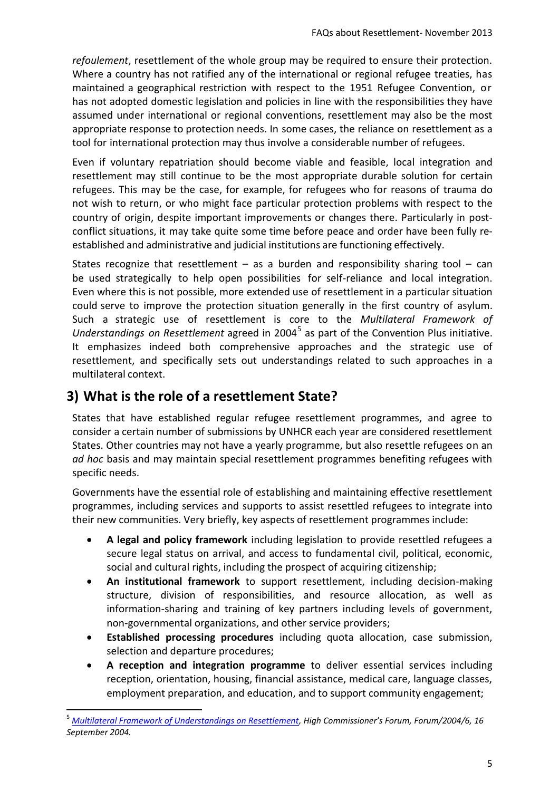*refoulement*, resettlement of the whole group may be required to ensure their protection. Where a country has not ratified any of the international or regional refugee treaties, has maintained a geographical restriction with respect to the 1951 Refugee Convention, or has not adopted domestic legislation and policies in line with the responsibilities they have assumed under international or regional conventions, resettlement may also be the most appropriate response to protection needs. In some cases, the reliance on resettlement as a tool for international protection may thus involve a considerable number of refugees.

Even if voluntary repatriation should become viable and feasible, local integration and resettlement may still continue to be the most appropriate durable solution for certain refugees. This may be the case, for example, for refugees who for reasons of trauma do not wish to return, or who might face particular protection problems with respect to the country of origin, despite important improvements or changes there. Particularly in post‐ conflict situations, it may take quite some time before peace and order have been fully re‐ established and administrative and judicial institutions are functioning effectively.

States recognize that resettlement  $-$  as a burden and responsibility sharing tool  $-$  can be used strategically to help open possibilities for self-reliance and local integration. Even where this is not possible, more extended use of resettlement in a particular situation could serve to improve the protection situation generally in the first country of asylum. Such a strategic use of resettlement is core to the *Multilateral Framework of Understandings on Resettlement* agreed in 2004 5 as part of the Convention Plus initiative. It emphasizes indeed both comprehensive approaches and the strategic use of resettlement, and specifically sets out understandings related to such approaches in a multilateral context.

### **3) What is the role of a resettlement State?**

 $\overline{a}$ 

States that have established regular refugee resettlement programmes, and agree to consider a certain number of submissions by UNHCR each year are considered resettlement States. Other countries may not have a yearly programme, but also resettle refugees on an *ad hoc* basis and may maintain special resettlement programmes benefiting refugees with specific needs.

Governments have the essential role of establishing and maintaining effective resettlement programmes, including services and supports to assist resettled refugees to integrate into their new communities. Very briefly, key aspects of resettlement programmes include:

- **A legal and policy framework** including legislation to provide resettled refugees a secure legal status on arrival, and access to fundamental civil, political, economic, social and cultural rights, including the prospect of acquiring citizenship;
- **An institutional framework** to support resettlement, including decision-making structure, division of responsibilities, and resource allocation, as well as information-sharing and training of key partners including levels of government, non-governmental organizations, and other service providers;
- **Established processing procedures** including quota allocation, case submission, selection and departure procedures;
- **A reception and integration programme** to deliver essential services including reception, orientation, housing, financial assistance, medical care, language classes, employment preparation, and education, and to support community engagement;

<sup>5</sup> *[Multilateral Framework of Understandings on Resettlement,](http://www.refworld.org/docid/41597d0a4.html) High Commissioner's Forum, Forum/2004/6, 16 September 2004.*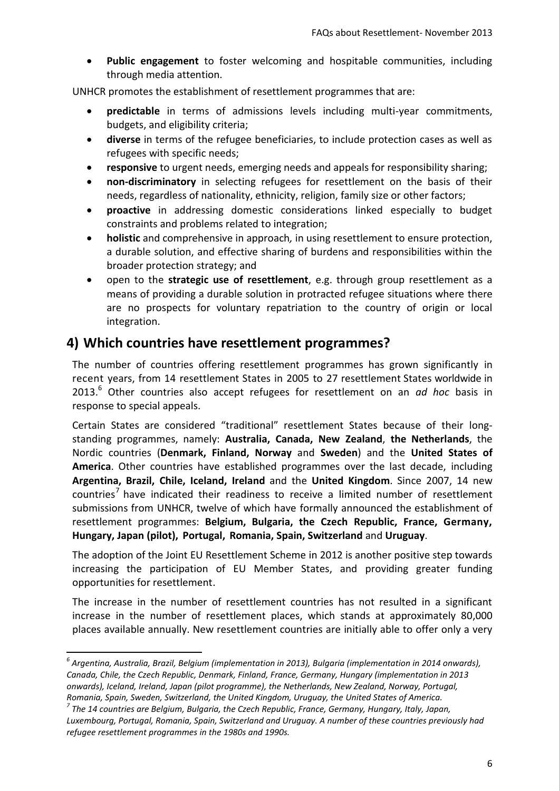**Public engagement** to foster welcoming and hospitable communities, including through media attention.

UNHCR promotes the establishment of resettlement programmes that are:

- **predictable** in terms of admissions levels including multi-year commitments, budgets, and eligibility criteria;
- **diverse** in terms of the refugee beneficiaries, to include protection cases as well as refugees with specific needs;
- **responsive** to urgent needs, emerging needs and appeals for responsibility sharing;
- **non-discriminatory** in selecting refugees for resettlement on the basis of their needs, regardless of nationality, ethnicity, religion, family size or other factors;
- **proactive** in addressing domestic considerations linked especially to budget constraints and problems related to integration;
- **holistic** and comprehensive in approach*,* in using resettlement to ensure protection, a durable solution, and effective sharing of burdens and responsibilities within the broader protection strategy; and
- open to the **strategic use of resettlement**, e.g. through group resettlement as a means of providing a durable solution in protracted refugee situations where there are no prospects for voluntary repatriation to the country of origin or local integration.

### **4) Which countries have resettlement programmes?**

The number of countries offering resettlement programmes has grown significantly in recent years, from 14 resettlement States in 2005 to 27 resettlement States worldwide in 2013.<sup>6</sup> Other countries also accept refugees for resettlement on an *ad hoc* basis in response to special appeals.

Certain States are considered "traditional" resettlement States because of their long‐ standing programmes, namely: **Australia, Canada, New Zealand**, **the Netherlands**, the Nordic countries (**Denmark, Finland, Norway** and **Sweden**) and the **United States of America**. Other countries have established programmes over the last decade, including **Argentina, Brazil, Chile, Iceland, Ireland** and the **United Kingdom**. Since 2007, 14 new countries<sup>7</sup> have indicated their readiness to receive a limited number of resettlement submissions from UNHCR, twelve of which have formally announced the establishment of resettlement programmes: **Belgium, Bulgaria, the Czech Republic, France, Germany, Hungary, Japan (pilot), Portugal, Romania, Spain, Switzerland** and **Uruguay**.

The adoption of the Joint EU Resettlement Scheme in 2012 is another positive step towards increasing the participation of EU Member States, and providing greater funding opportunities for resettlement.

The increase in the number of resettlement countries has not resulted in a significant increase in the number of resettlement places, which stands at approximately 80,000 places available annually. New resettlement countries are initially able to offer only a very

 $\overline{a}$ 

*<sup>6</sup> Argentina, Australia, Brazil, Belgium (implementation in 2013), Bulgaria (implementation in 2014 onwards), Canada, Chile, the Czech Republic, Denmark, Finland, France, Germany, Hungary (implementation in 2013 onwards), Iceland, Ireland, Japan (pilot programme), the Netherlands, New Zealand, Norway, Portugal, Romania, Spain, Sweden, Switzerland, the United Kingdom, Uruguay, the United States of America.*

*<sup>7</sup> The 14 countries are Belgium, Bulgaria, the Czech Republic, France, Germany, Hungary, Italy, Japan, Luxembourg, Portugal, Romania, Spain, Switzerland and Uruguay. A number of these countries previously had refugee resettlement programmes in the 1980s and 1990s.*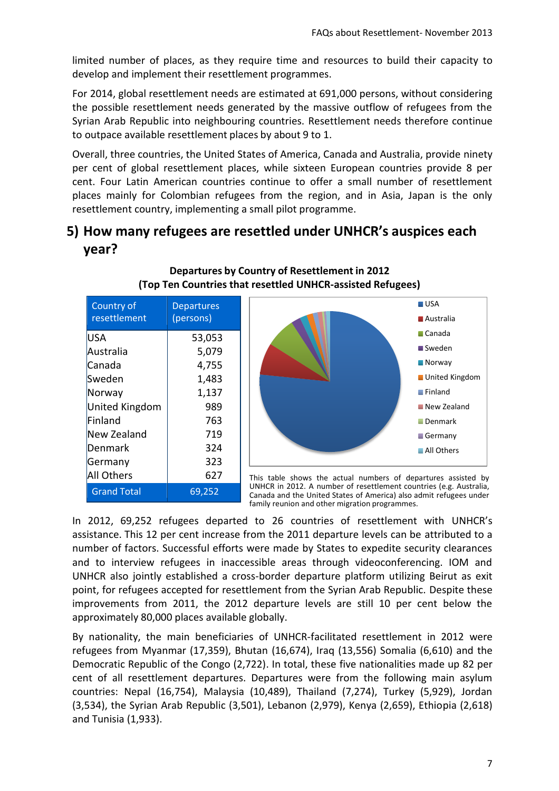limited number of places, as they require time and resources to build their capacity to develop and implement their resettlement programmes.

For 2014, global resettlement needs are estimated at 691,000 persons, without considering the possible resettlement needs generated by the massive outflow of refugees from the Syrian Arab Republic into neighbouring countries. Resettlement needs therefore continue to outpace available resettlement places by about 9 to 1.

Overall, three countries, the United States of America, Canada and Australia, provide ninety per cent of global resettlement places, while sixteen European countries provide 8 per cent. Four Latin American countries continue to offer a small number of resettlement places mainly for Colombian refugees from the region, and in Asia, Japan is the only resettlement country, implementing a small pilot programme.

### **5) How many refugees are resettled under UNHCR's auspices each year?**

| Country of<br>resettlement | <b>Departures</b><br>(persons) |
|----------------------------|--------------------------------|
| USA                        | 53,053                         |
| Australia                  | 5,079                          |
| Canada                     | 4,755                          |
| Sweden                     | 1,483                          |
| Norway                     | 1,137                          |
| <b>United Kingdom</b>      | 989                            |
| Finland                    | 763                            |
| New Zealand                | 719                            |
| Denmark                    | 324                            |
| Germany                    | 323                            |
| All Others                 | 627                            |
| <b>Grand Total</b>         | 69,252                         |





This table shows the actual numbers of departures assisted by UNHCR in 2012. A number of resettlement countries (e.g. Australia, Canada and the United States of America) also admit refugees under family reunion and other migration programmes.

In 2012, 69,252 refugees departed to 26 countries of resettlement with UNHCR's assistance. This 12 per cent increase from the 2011 departure levels can be attributed to a number of factors. Successful efforts were made by States to expedite security clearances and to interview refugees in inaccessible areas through videoconferencing. IOM and UNHCR also jointly established a cross-border departure platform utilizing Beirut as exit point, for refugees accepted for resettlement from the Syrian Arab Republic. Despite these improvements from 2011, the 2012 departure levels are still 10 per cent below the approximately 80,000 places available globally.

By nationality, the main beneficiaries of UNHCR‐facilitated resettlement in 2012 were refugees from Myanmar (17,359), Bhutan (16,674), Iraq (13,556) Somalia (6,610) and the Democratic Republic of the Congo (2,722). In total, these five nationalities made up 82 per cent of all resettlement departures. Departures were from the following main asylum countries: Nepal (16,754), Malaysia (10,489), Thailand (7,274), Turkey (5,929), Jordan (3,534), the Syrian Arab Republic (3,501), Lebanon (2,979), Kenya (2,659), Ethiopia (2,618) and Tunisia (1,933).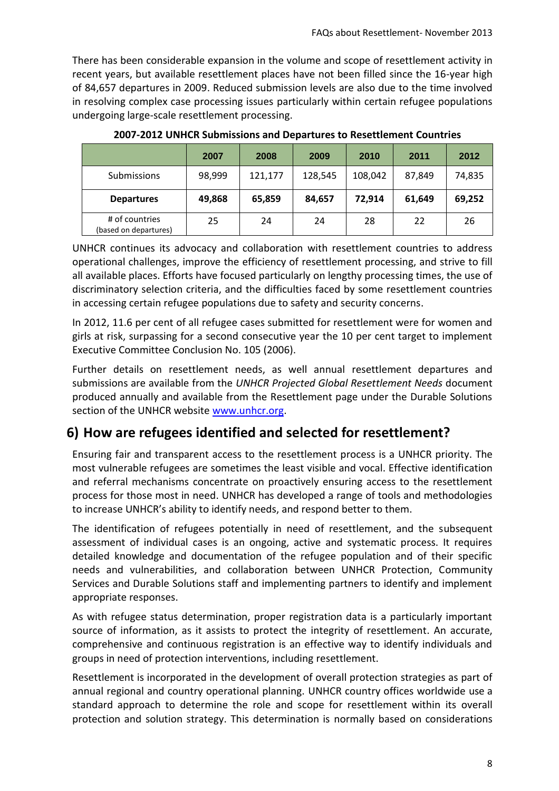There has been considerable expansion in the volume and scope of resettlement activity in recent years, but available resettlement places have not been filled since the 16-year high of 84,657 departures in 2009. Reduced submission levels are also due to the time involved in resolving complex case processing issues particularly within certain refugee populations undergoing large-scale resettlement processing.

|                                         | 2007   | 2008    | 2009    | 2010    | 2011   | 2012   |
|-----------------------------------------|--------|---------|---------|---------|--------|--------|
| <b>Submissions</b>                      | 98,999 | 121,177 | 128,545 | 108,042 | 87,849 | 74,835 |
| <b>Departures</b>                       | 49,868 | 65,859  | 84,657  | 72,914  | 61,649 | 69,252 |
| # of countries<br>(based on departures) | 25     | 24      | 24      | 28      | 22     | 26     |

**2007-2012 UNHCR Submissions and Departures to Resettlement Countries**

UNHCR continues its advocacy and collaboration with resettlement countries to address operational challenges, improve the efficiency of resettlement processing, and strive to fill all available places. Efforts have focused particularly on lengthy processing times, the use of discriminatory selection criteria, and the difficulties faced by some resettlement countries in accessing certain refugee populations due to safety and security concerns.

In 2012, 11.6 per cent of all refugee cases submitted for resettlement were for women and girls at risk, surpassing for a second consecutive year the 10 per cent target to implement Executive Committee Conclusion No. 105 (2006).

Further details on resettlement needs, as well annual resettlement departures and submissions are available from the *UNHCR Projected Global Resettlement Needs* document produced annually and available from the Resettlement page under the Durable Solutions section of the UNHCR website [www.unhcr.org.](http://www.unhcr.org/)

### **6) How are refugees identified and selected for resettlement?**

Ensuring fair and transparent access to the resettlement process is a UNHCR priority. The most vulnerable refugees are sometimes the least visible and vocal. Effective identification and referral mechanisms concentrate on proactively ensuring access to the resettlement process for those most in need. UNHCR has developed a range of tools and methodologies to increase UNHCR's ability to identify needs, and respond better to them.

The identification of refugees potentially in need of resettlement, and the subsequent assessment of individual cases is an ongoing, active and systematic process. It requires detailed knowledge and documentation of the refugee population and of their specific needs and vulnerabilities, and collaboration between UNHCR Protection, Community Services and Durable Solutions staff and implementing partners to identify and implement appropriate responses.

As with refugee status determination, proper registration data is a particularly important source of information, as it assists to protect the integrity of resettlement. An accurate, comprehensive and continuous registration is an effective way to identify individuals and groups in need of protection interventions, including resettlement.

Resettlement is incorporated in the development of overall protection strategies as part of annual regional and country operational planning. UNHCR country offices worldwide use a standard approach to determine the role and scope for resettlement within its overall protection and solution strategy. This determination is normally based on considerations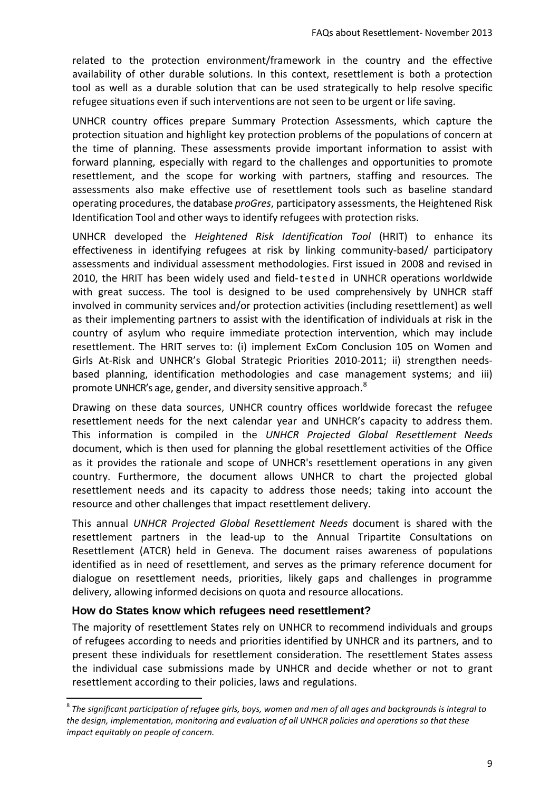related to the protection environment/framework in the country and the effective availability of other durable solutions. In this context, resettlement is both a protection tool as well as a durable solution that can be used strategically to help resolve specific refugee situations even if such interventions are not seen to be urgent or life saving.

UNHCR country offices prepare Summary Protection Assessments, which capture the protection situation and highlight key protection problems of the populations of concern at the time of planning. These assessments provide important information to assist with forward planning, especially with regard to the challenges and opportunities to promote resettlement, and the scope for working with partners, staffing and resources. The assessments also make effective use of resettlement tools such as baseline standard operating procedures, the database *proGres*, participatory assessments, the Heightened Risk Identification Tool and other ways to identify refugees with protection risks.

UNHCR developed the *Heightened Risk Identification Tool* (HRIT) to enhance its effectiveness in identifying refugees at risk by linking community‐based/ participatory assessments and individual assessment methodologies. First issued in 2008 and revised in 2010, the HRIT has been widely used and field-t est ed in UNHCR operations worldwide with great success. The tool is designed to be used comprehensively by UNHCR staff involved in community services and/or protection activities (including resettlement) as well as their implementing partners to assist with the identification of individuals at risk in the country of asylum who require immediate protection intervention, which may include resettlement. The HRIT serves to: (i) implement ExCom Conclusion 105 on Women and Girls At-Risk and UNHCR's Global Strategic Priorities 2010-2011; ii) strengthen needsbased planning, identification methodologies and case management systems; and iii) promote UNHCR's age, gender, and diversity sensitive approach. $^8$ 

Drawing on these data sources, UNHCR country offices worldwide forecast the refugee resettlement needs for the next calendar year and UNHCR's capacity to address them. This information is compiled in the *UNHCR Projected Global Resettlement Needs* document, which is then used for planning the global resettlement activities of the Office as it provides the rationale and scope of UNHCR's resettlement operations in any given country. Furthermore, the document allows UNHCR to chart the projected global resettlement needs and its capacity to address those needs; taking into account the resource and other challenges that impact resettlement delivery.

This annual *UNHCR Projected Global Resettlement Needs* document is shared with the resettlement partners in the lead-up to the Annual Tripartite Consultations on Resettlement (ATCR) held in Geneva. The document raises awareness of populations identified as in need of resettlement, and serves as the primary reference document for dialogue on resettlement needs, priorities, likely gaps and challenges in programme delivery, allowing informed decisions on quota and resource allocations.

#### **How do States know which refugees need resettlement?**

 $\overline{\phantom{a}}$ 

The majority of resettlement States rely on UNHCR to recommend individuals and groups of refugees according to needs and priorities identified by UNHCR and its partners, and to present these individuals for resettlement consideration. The resettlement States assess the individual case submissions made by UNHCR and decide whether or not to grant resettlement according to their policies, laws and regulations.

<sup>8</sup> *The significant participation of refugee girls, boys, women and men of all ages and backgrounds is integral to the design, implementation, monitoring and evaluation of all UNHCR policies and operations so that these impact equitably on people of concern.*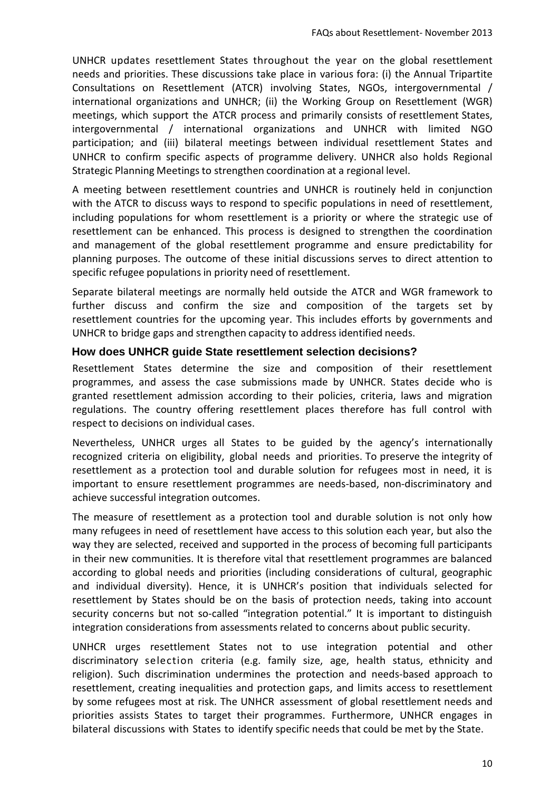UNHCR updates resettlement States throughout the year on the global resettlement needs and priorities. These discussions take place in various fora: (i) the Annual Tripartite Consultations on Resettlement (ATCR) involving States, NGOs, intergovernmental / international organizations and UNHCR; (ii) the Working Group on Resettlement (WGR) meetings, which support the ATCR process and primarily consists of resettlement States, intergovernmental / international organizations and UNHCR with limited NGO participation; and (iii) bilateral meetings between individual resettlement States and UNHCR to confirm specific aspects of programme delivery. UNHCR also holds Regional Strategic Planning Meetings to strengthen coordination at a regional level.

A meeting between resettlement countries and UNHCR is routinely held in conjunction with the ATCR to discuss ways to respond to specific populations in need of resettlement, including populations for whom resettlement is a priority or where the strategic use of resettlement can be enhanced. This process is designed to strengthen the coordination and management of the global resettlement programme and ensure predictability for planning purposes. The outcome of these initial discussions serves to direct attention to specific refugee populations in priority need of resettlement.

Separate bilateral meetings are normally held outside the ATCR and WGR framework to further discuss and confirm the size and composition of the targets set by resettlement countries for the upcoming year. This includes efforts by governments and UNHCR to bridge gaps and strengthen capacity to address identified needs.

#### **How does UNHCR guide State resettlement selection decisions?**

Resettlement States determine the size and composition of their resettlement programmes, and assess the case submissions made by UNHCR. States decide who is granted resettlement admission according to their policies, criteria, laws and migration regulations. The country offering resettlement places therefore has full control with respect to decisions on individual cases.

Nevertheless, UNHCR urges all States to be guided by the agency's internationally recognized criteria on eligibility, global needs and priorities. To preserve the integrity of resettlement as a protection tool and durable solution for refugees most in need, it is important to ensure resettlement programmes are needs‐based, non‐discriminatory and achieve successful integration outcomes.

The measure of resettlement as a protection tool and durable solution is not only how many refugees in need of resettlement have access to this solution each year, but also the way they are selected, received and supported in the process of becoming full participants in their new communities. It is therefore vital that resettlement programmes are balanced according to global needs and priorities (including considerations of cultural, geographic and individual diversity). Hence, it is UNHCR's position that individuals selected for resettlement by States should be on the basis of protection needs, taking into account security concerns but not so-called "integration potential." It is important to distinguish integration considerations from assessments related to concerns about public security.

UNHCR urges resettlement States not to use integration potential and other discriminatory selection criteria (e.g. family size, age, health status, ethnicity and religion). Such discrimination undermines the protection and needs‐based approach to resettlement, creating inequalities and protection gaps, and limits access to resettlement by some refugees most at risk. The UNHCR assessment of global resettlement needs and priorities assists States to target their programmes. Furthermore, UNHCR engages in bilateral discussions with States to identify specific needs that could be met by the State.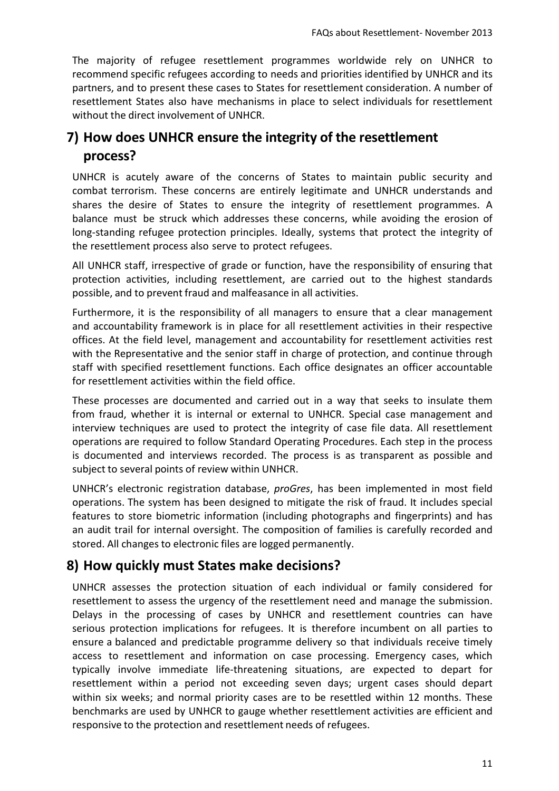The majority of refugee resettlement programmes worldwide rely on UNHCR to recommend specific refugees according to needs and priorities identified by UNHCR and its partners, and to present these cases to States for resettlement consideration. A number of resettlement States also have mechanisms in place to select individuals for resettlement without the direct involvement of UNHCR.

### **7) How does UNHCR ensure the integrity of the resettlement process?**

UNHCR is acutely aware of the concerns of States to maintain public security and combat terrorism. These concerns are entirely legitimate and UNHCR understands and shares the desire of States to ensure the integrity of resettlement programmes. A balance must be struck which addresses these concerns, while avoiding the erosion of long-standing refugee protection principles. Ideally, systems that protect the integrity of the resettlement process also serve to protect refugees.

All UNHCR staff, irrespective of grade or function, have the responsibility of ensuring that protection activities, including resettlement, are carried out to the highest standards possible, and to prevent fraud and malfeasance in all activities.

Furthermore, it is the responsibility of all managers to ensure that a clear management and accountability framework is in place for all resettlement activities in their respective offices. At the field level, management and accountability for resettlement activities rest with the Representative and the senior staff in charge of protection, and continue through staff with specified resettlement functions. Each office designates an officer accountable for resettlement activities within the field office.

These processes are documented and carried out in a way that seeks to insulate them from fraud, whether it is internal or external to UNHCR. Special case management and interview techniques are used to protect the integrity of case file data. All resettlement operations are required to follow Standard Operating Procedures. Each step in the process is documented and interviews recorded. The process is as transparent as possible and subject to several points of review within UNHCR.

UNHCR's electronic registration database, *proGres*, has been implemented in most field operations. The system has been designed to mitigate the risk of fraud. It includes special features to store biometric information (including photographs and fingerprints) and has an audit trail for internal oversight. The composition of families is carefully recorded and stored. All changes to electronic files are logged permanently.

### **8) How quickly must States make decisions?**

UNHCR assesses the protection situation of each individual or family considered for resettlement to assess the urgency of the resettlement need and manage the submission. Delays in the processing of cases by UNHCR and resettlement countries can have serious protection implications for refugees. It is therefore incumbent on all parties to ensure a balanced and predictable programme delivery so that individuals receive timely access to resettlement and information on case processing. Emergency cases, which typically involve immediate life‐threatening situations, are expected to depart for resettlement within a period not exceeding seven days; urgent cases should depart within six weeks; and normal priority cases are to be resettled within 12 months. These benchmarks are used by UNHCR to gauge whether resettlement activities are efficient and responsive to the protection and resettlement needs of refugees.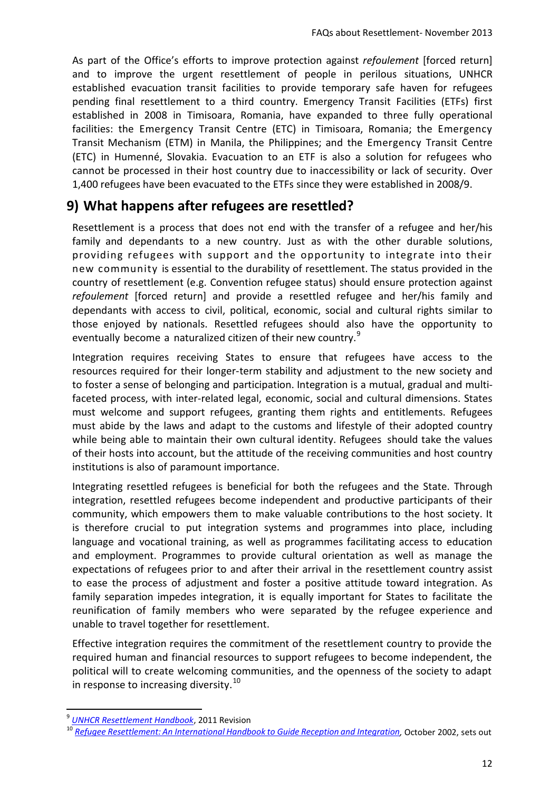As part of the Office's efforts to improve protection against *refoulement* [forced return] and to improve the urgent resettlement of people in perilous situations, UNHCR established evacuation transit facilities to provide temporary safe haven for refugees pending final resettlement to a third country. Emergency Transit Facilities (ETFs) first established in 2008 in Timisoara, Romania, have expanded to three fully operational facilities: the Emergency Transit Centre (ETC) in Timisoara, Romania; the Emergency Transit Mechanism (ETM) in Manila, the Philippines; and the Emergency Transit Centre (ETC) in Humenné, Slovakia. Evacuation to an ETF is also a solution for refugees who cannot be processed in their host country due to inaccessibility or lack of security. Over 1,400 refugees have been evacuated to the ETFs since they were established in 2008/9.

### **9) What happens after refugees are resettled?**

Resettlement is a process that does not end with the transfer of a refugee and her/his family and dependants to a new country. Just as with the other durable solutions, providing refugees with support and the opportunity to integrate into their new community is essential to the durability of resettlement. The status provided in the country of resettlement (e.g. Convention refugee status) should ensure protection against *refoulement* [forced return] and provide a resettled refugee and her/his family and dependants with access to civil, political, economic, social and cultural rights similar to those enjoyed by nationals. Resettled refugees should also have the opportunity to eventually become a naturalized citizen of their new country.<sup>9</sup>

Integration requires receiving States to ensure that refugees have access to the resources required for their longer-term stability and adjustment to the new society and to foster a sense of belonging and participation. Integration is a mutual, gradual and multi‐ faceted process, with inter-related legal, economic, social and cultural dimensions. States must welcome and support refugees, granting them rights and entitlements. Refugees must abide by the laws and adapt to the customs and lifestyle of their adopted country while being able to maintain their own cultural identity. Refugees should take the values of their hosts into account, but the attitude of the receiving communities and host country institutions is also of paramount importance.

Integrating resettled refugees is beneficial for both the refugees and the State. Through integration, resettled refugees become independent and productive participants of their community, which empowers them to make valuable contributions to the host society. It is therefore crucial to put integration systems and programmes into place, including language and vocational training, as well as programmes facilitating access to education and employment. Programmes to provide cultural orientation as well as manage the expectations of refugees prior to and after their arrival in the resettlement country assist to ease the process of adjustment and foster a positive attitude toward integration. As family separation impedes integration, it is equally important for States to facilitate the reunification of family members who were separated by the refugee experience and unable to travel together for resettlement.

Effective integration requires the commitment of the resettlement country to provide the required human and financial resources to support refugees to become independent, the political will to create welcoming communities, and the openness of the society to adapt in response to increasing diversity.<sup>10</sup>

 $\overline{\phantom{a}}$ 

<sup>9</sup> *[UNHCR Resettlement Handbook](http://www.unhcr.org/resettlementhandbook)*, 2011 Revision

<sup>10</sup> *Refugee Resettlement: An International Handbook to Guide Reception [and Integration,](http://www.unhcr.org/refworld/docid/405189284.html)* October 2002, sets out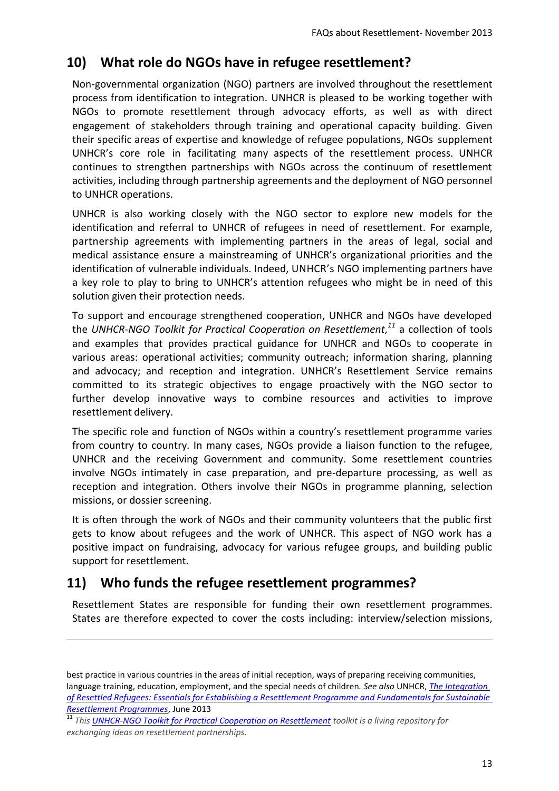### **10) What role do NGOs have in refugee resettlement?**

Non‐governmental organization (NGO) partners are involved throughout the resettlement process from identification to integration. UNHCR is pleased to be working together with NGOs to promote resettlement through advocacy efforts, as well as with direct engagement of stakeholders through training and operational capacity building. Given their specific areas of expertise and knowledge of refugee populations, NGOs supplement UNHCR's core role in facilitating many aspects of the resettlement process. UNHCR continues to strengthen partnerships with NGOs across the continuum of resettlement activities, including through partnership agreements and the deployment of NGO personnel to UNHCR operations.

UNHCR is also working closely with the NGO sector to explore new models for the identification and referral to UNHCR of refugees in need of resettlement. For example, partnership agreements with implementing partners in the areas of legal, social and medical assistance ensure a mainstreaming of UNHCR's organizational priorities and the identification of vulnerable individuals. Indeed, UNHCR's NGO implementing partners have a key role to play to bring to UNHCR's attention refugees who might be in need of this solution given their protection needs.

To support and encourage strengthened cooperation, UNHCR and NGOs have developed the *UNHCR-NGO Toolkit for Practical Cooperation on Resettlement, <sup>11</sup>* a collection of tools and examples that provides practical guidance for UNHCR and NGOs to cooperate in various areas: operational activities; community outreach; information sharing, planning and advocacy; and reception and integration. UNHCR's Resettlement Service remains committed to its strategic objectives to engage proactively with the NGO sector to further develop innovative ways to combine resources and activities to improve resettlement delivery.

The specific role and function of NGOs within a country's resettlement programme varies from country to country. In many cases, NGOs provide a liaison function to the refugee, UNHCR and the receiving Government and community. Some resettlement countries involve NGOs intimately in case preparation, and pre-departure processing, as well as reception and integration. Others involve their NGOs in programme planning, selection missions, or dossier screening.

It is often through the work of NGOs and their community volunteers that the public first gets to know about refugees and the work of UNHCR. This aspect of NGO work has a positive impact on fundraising, advocacy for various refugee groups, and building public support for resettlement.

### **11) Who funds the refugee resettlement programmes?**

 $\overline{a}$ 

Resettlement States are responsible for funding their own resettlement programmes. States are therefore expected to cover the costs including: interview/selection missions,

best practice in various countries in the areas of initial reception, ways of preparing receiving communities, language training, education, employment, and the special needs of children*. See also* UNHCR, *[The Integration](http://www.refworld.org/docid/51b81d9f4.html)  [of Resettled Refugees: Essentials for Establishing a Resettlement Programme and Fundamentals for Sustainable](http://www.refworld.org/docid/51b81d9f4.html)  [Resettlement Programmes](http://www.refworld.org/docid/51b81d9f4.html)*, June 2013

<sup>11</sup> *This [UNHCR-NGO Toolkit for Practical Cooperation on Resettlement](http://www.unhcr.org/ngotoolkit) toolkit is a living repository for exchanging ideas on resettlement partnerships.*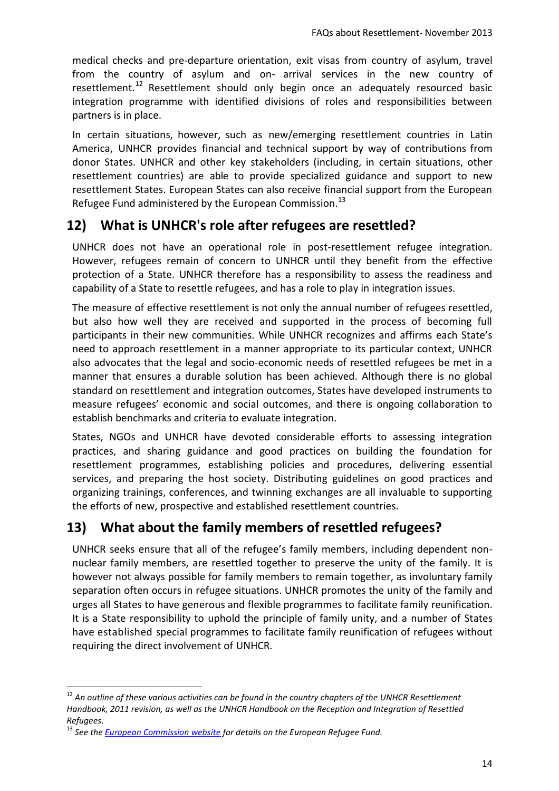medical checks and pre‐departure orientation, exit visas from country of asylum, travel from the country of asylum and on‐ arrival services in the new country of resettlement.<sup>12</sup> Resettlement should only begin once an adequately resourced basic integration programme with identified divisions of roles and responsibilities between partners is in place.

In certain situations, however, such as new/emerging resettlement countries in Latin America, UNHCR provides financial and technical support by way of contributions from donor States. UNHCR and other key stakeholders (including, in certain situations, other resettlement countries) are able to provide specialized guidance and support to new resettlement States. European States can also receive financial support from the European Refugee Fund administered by the European Commission.<sup>13</sup>

### **12) What is UNHCR's role after refugees are resettled?**

UNHCR does not have an operational role in post-resettlement refugee integration. However, refugees remain of concern to UNHCR until they benefit from the effective protection of a State. UNHCR therefore has a responsibility to assess the readiness and capability of a State to resettle refugees, and has a role to play in integration issues.

The measure of effective resettlement is not only the annual number of refugees resettled, but also how well they are received and supported in the process of becoming full participants in their new communities. While UNHCR recognizes and affirms each State's need to approach resettlement in a manner appropriate to its particular context, UNHCR also advocates that the legal and socio-economic needs of resettled refugees be met in a manner that ensures a durable solution has been achieved. Although there is no global standard on resettlement and integration outcomes, States have developed instruments to measure refugees' economic and social outcomes, and there is ongoing collaboration to establish benchmarks and criteria to evaluate integration.

States, NGOs and UNHCR have devoted considerable efforts to assessing integration practices, and sharing guidance and good practices on building the foundation for resettlement programmes, establishing policies and procedures, delivering essential services, and preparing the host society. Distributing guidelines on good practices and organizing trainings, conferences, and twinning exchanges are all invaluable to supporting the efforts of new, prospective and established resettlement countries.

### **13) What about the family members of resettled refugees?**

UNHCR seeks ensure that all of the refugee's family members, including dependent nonnuclear family members, are resettled together to preserve the unity of the family. It is however not always possible for family members to remain together, as involuntary family separation often occurs in refugee situations. UNHCR promotes the unity of the family and urges all States to have generous and flexible programmes to facilitate family reunification. It is a State responsibility to uphold the principle of family unity, and a number of States have established special programmes to facilitate family reunification of refugees without requiring the direct involvement of UNHCR.

 $\overline{a}$ 

<sup>12</sup> *An outline of these various activities can be found in the country chapters of the UNHCR Resettlement Handbook, 2011 revision, as well as the UNHCR Handbook on the Reception and Integration of Resettled Refugees*.

<sup>13</sup> *See th[e European Commission website](http://ec.europa.eu/home-affairs/funding/refugee/funding_refugee_en.htm) for details on the European Refugee Fund.*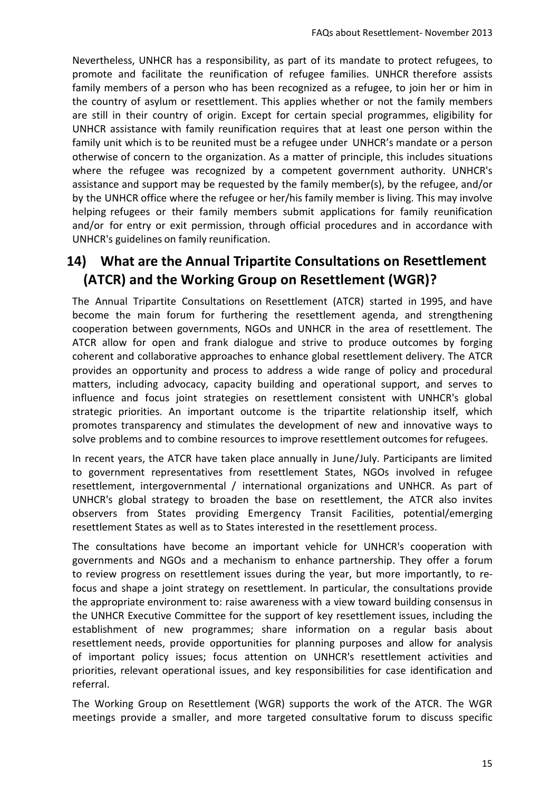Nevertheless, UNHCR has a responsibility, as part of its mandate to protect refugees, to promote and facilitate the reunification of refugee families. UNHCR therefore assists family members of a person who has been recognized as a refugee, to join her or him in the country of asylum or resettlement. This applies whether or not the family members are still in their country of origin. Except for certain special programmes, eligibility for UNHCR assistance with family reunification requires that at least one person within the family unit which is to be reunited must be a refugee under UNHCR's mandate or a person otherwise of concern to the organization. As a matter of principle, this includes situations where the refugee was recognized by a competent government authority. UNHCR's assistance and support may be requested by the family member(s), by the refugee, and/or by the UNHCR office where the refugee or her/his family member is living. This may involve helping refugees or their family members submit applications for family reunification and/or for entry or exit permission, through official procedures and in accordance with UNHCR's guidelines on family reunification.

# **14) What are the Annual Tripartite Consultations on Resettlement (ATCR) and the Working Group on Resettlement (WGR)?**

The Annual Tripartite Consultations on Resettlement (ATCR) started in 1995, and have become the main forum for furthering the resettlement agenda, and strengthening cooperation between governments, NGOs and UNHCR in the area of resettlement. The ATCR allow for open and frank dialogue and strive to produce outcomes by forging coherent and collaborative approaches to enhance global resettlement delivery. The ATCR provides an opportunity and process to address a wide range of policy and procedural matters, including advocacy, capacity building and operational support, and serves to influence and focus joint strategies on resettlement consistent with UNHCR's global strategic priorities. An important outcome is the tripartite relationship itself, which promotes transparency and stimulates the development of new and innovative ways to solve problems and to combine resources to improve resettlement outcomes for refugees.

In recent years, the ATCR have taken place annually in June/July. Participants are limited to government representatives from resettlement States, NGOs involved in refugee resettlement, intergovernmental / international organizations and UNHCR. As part of UNHCR's global strategy to broaden the base on resettlement, the ATCR also invites observers from States providing Emergency Transit Facilities, potential/emerging resettlement States as well as to States interested in the resettlement process.

The consultations have become an important vehicle for UNHCR's cooperation with governments and NGOs and a mechanism to enhance partnership. They offer a forum to review progress on resettlement issues during the year, but more importantly, to re‐ focus and shape a joint strategy on resettlement. In particular, the consultations provide the appropriate environment to: raise awareness with a view toward building consensus in the UNHCR Executive Committee for the support of key resettlement issues, including the establishment of new programmes; share information on a regular basis about resettlement needs, provide opportunities for planning purposes and allow for analysis of important policy issues; focus attention on UNHCR's resettlement activities and priorities, relevant operational issues, and key responsibilities for case identification and referral.

The Working Group on Resettlement (WGR) supports the work of the ATCR. The WGR meetings provide a smaller, and more targeted consultative forum to discuss specific